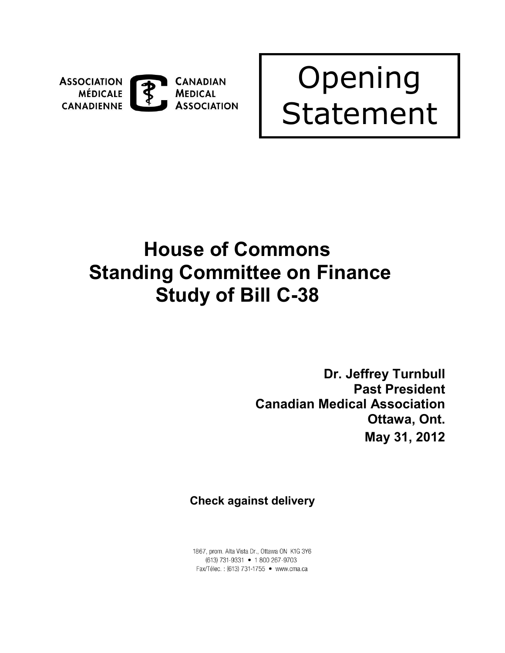

## Opening Statement

## **House of Commons Standing Committee on Finance Study of Bill C-38**

**Dr. Jeffrey Turnbull Past President Canadian Medical Association Ottawa, Ont. May 31, 2012** 

**Check against delivery** 

(613) 731-9331 ● 1 800 267-9703 • Fax/Telec. : (613) 731-1755 <www.cma.ca>1867, prom. Alta Vista Dr., Ottawa ON K1G 3Y6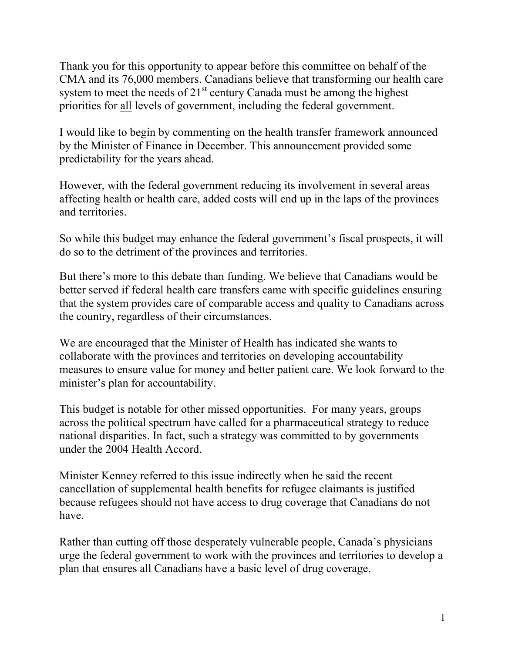Thank you for this opportunity to appear before this committee on behalf of the CMA and its 76,000 members. Canadians believe that transforming our health care system to meet the needs of  $21<sup>st</sup>$  century Canada must be among the highest priorities for all levels of government, including the federal government.

 I would like to begin by commenting on the health transfer framework announced by the Minister of Finance in December. This announcement provided some predictability for the years ahead.

 However, with the federal government reducing its involvement in several areas affecting health or health care, added costs will end up in the laps of the provinces and territories.

 So while this budget may enhance the federal government's fiscal prospects, it will do so to the detriment of the provinces and territories.

 But there's more to this debate than funding. We believe that Canadians would be that the system provides care of comparable access and quality to Canadians across better served if federal health care transfers came with specific guidelines ensuring the country, regardless of their circumstances.

 We are encouraged that the Minister of Health has indicated she wants to collaborate with the provinces and territories on developing accountability measures to ensure value for money and better patient care. We look forward to the minister's plan for accountability.

 This budget is notable for other missed opportunities. For many years, groups across the political spectrum have called for a pharmaceutical strategy to reduce national disparities. In fact, such a strategy was committed to by governments under the 2004 Health Accord.

 Minister Kenney referred to this issue indirectly when he said the recent cancellation of supplemental health benefits for refugee claimants is justified because refugees should not have access to drug coverage that Canadians do not have.

plan that ensures all Canadians have a basic level of drug coverage. Rather than cutting off those desperately vulnerable people, Canada's physicians urge the federal government to work with the provinces and territories to develop a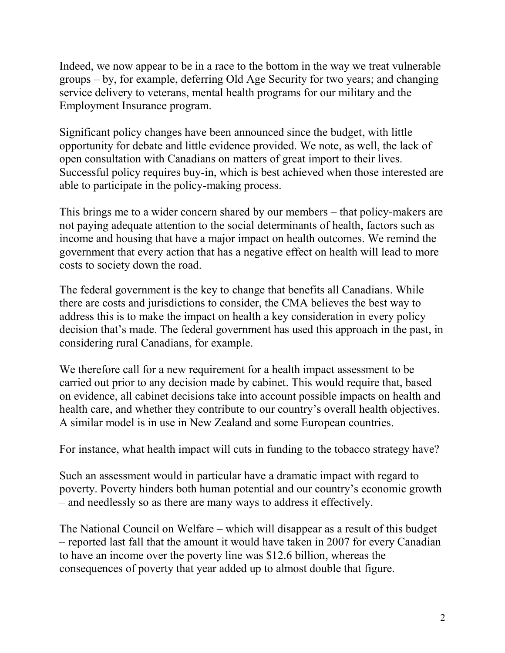Indeed, we now appear to be in a race to the bottom in the way we treat vulnerable groups – by, for example, deferring Old Age Security for two years; and changing service delivery to veterans, mental health programs for our military and the Employment Insurance program.

 opportunity for debate and little evidence provided. We note, as well, the lack of Successful policy requires buy-in, which is best achieved when those interested are able to participate in the policy-making process. Significant policy changes have been announced since the budget, with little open consultation with Canadians on matters of great import to their lives.

 This brings me to a wider concern shared by our members – that policy-makers are income and housing that have a major impact on health outcomes. We remind the government that every action that has a negative effect on health will lead to more not paying adequate attention to the social determinants of health, factors such as costs to society down the road.

 The federal government is the key to change that benefits all Canadians. While there are costs and jurisdictions to consider, the CMA believes the best way to address this is to make the impact on health a key consideration in every policy decision that's made. The federal government has used this approach in the past, in considering rural Canadians, for example.

 We therefore call for a new requirement for a health impact assessment to be on evidence, all cabinet decisions take into account possible impacts on health and carried out prior to any decision made by cabinet. This would require that, based health care, and whether they contribute to our country's overall health objectives. A similar model is in use in New Zealand and some European countries.

For instance, what health impact will cuts in funding to the tobacco strategy have?

 Such an assessment would in particular have a dramatic impact with regard to poverty. Poverty hinders both human potential and our country's economic growth – and needlessly so as there are many ways to address it effectively.

 The National Council on Welfare – which will disappear as a result of this budget – reported last fall that the amount it would have taken in 2007 for every Canadian consequences of poverty that year added up to almost double that figure. to have an income over the poverty line was \$12.6 billion, whereas the